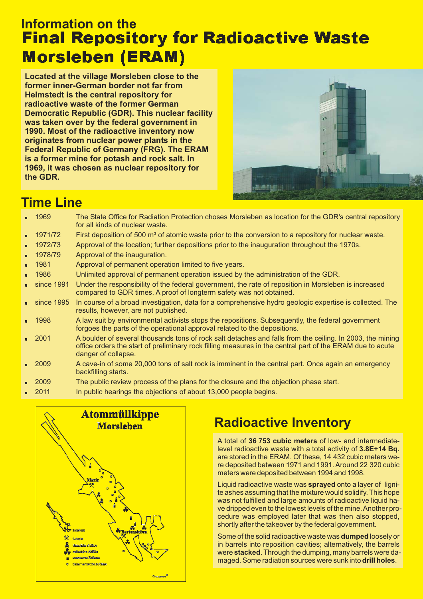## **Information on the Final Repository for Radioactive Waste Morsleben (ERAM)**

**Located at the village Morsleben close to the former inner-German border not far from Helmstedt is the central repository for radioactive waste of the former German Democratic Republic (GDR). This nuclear facility was taken over by the federal government in 1990. Most of the radioactive inventory now originates from nuclear power plants in the Federal Republic of Germany (FRG). The ERAM is a former mine for potash and rock salt. In 1969, it was chosen as nuclear repository for the GDR.**



### **Time Line**

| $-1969$              | The State Office for Radiation Protection choses Morsleben as location for the GDR's central repository<br>for all kinds of nuclear waste.                                                                                                    |
|----------------------|-----------------------------------------------------------------------------------------------------------------------------------------------------------------------------------------------------------------------------------------------|
| $-1971/72$           | First deposition of 500 m <sup>3</sup> of atomic waste prior to the conversion to a repository for nuclear waste.                                                                                                                             |
| $-1972/73$           | Approval of the location; further depositions prior to the inauguration throughout the 1970s.                                                                                                                                                 |
| • 1978/79            | Approval of the inauguration.                                                                                                                                                                                                                 |
| $-1981$              | Approval of permanent operation limited to five years.                                                                                                                                                                                        |
| $-1986$              | Unlimited approval of permanent operation issued by the administration of the GDR.                                                                                                                                                            |
| $\bullet$ since 1991 | Under the responsibility of the federal government, the rate of reposition in Morsleben is increased<br>compared to GDR times. A proof of longterm safety was not obtained.                                                                   |
| $\bullet$ since 1995 | In course of a broad investigation, data for a comprehensive hydro geologic expertise is collected. The<br>results, however, are not published.                                                                                               |
| $-1998$              | A law suit by environmental activists stops the repositions. Subsequently, the federal government<br>forgoes the parts of the operational approval related to the depositions.                                                                |
| $\bullet$ 2001       | A boulder of several thousands tons of rock salt detaches and falls from the ceiling. In 2003, the mining<br>office orders the start of preliminary rock filling measures in the central part of the ERAM due to acute<br>danger of collapse. |
| $\bullet$ 2009       | A cave-in of some 20,000 tons of salt rock is imminent in the central part. Once again an emergency<br>backfilling starts.                                                                                                                    |
| $\bullet$ 2009       | The public review process of the plans for the closure and the objection phase start.                                                                                                                                                         |

. 2011 In public hearings the objections of about 13,000 people begins.



# **Radioactive Inventory**

A total of 36 753 cubic meters of low- and intermediatelevel radioactive waste with a total activity of **3.8E+14 Bq.** are stored in the ERAM. Of these, 14 432 cubic meters were deposited between 1971 and 1991. Around 22 320 cubic meters were deposited between 1994 and 1998.

Liquid radioactive waste was **sprayed** onto a layer of lignite ashes assuming that the mixture would solidify. This hope was not fulfilled and large amounts of radioactive liquid have dripped even to the lowest levels of the mine.Another procedure was employed later that was then also stopped, shortly after the takeover by the federal government.

Some of the solid radioactive waste was **dumped** loosely or in barrels into reposition cavities; alternatively, the barrels were **stacked**. Through the dumping, many barrels were damaged. Some radiation sources were sunk into **drill holes**.